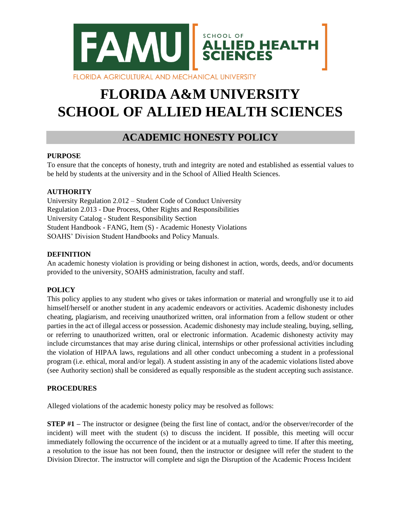

# **FLORIDA A&M UNIVERSITY SCHOOL OF ALLIED HEALTH SCIENCES**

# **ACADEMIC HONESTY POLICY**

# **PURPOSE**

To ensure that the concepts of honesty, truth and integrity are noted and established as essential values to be held by students at the university and in the School of Allied Health Sciences.

# **AUTHORITY**

University Regulation 2.012 – Student Code of Conduct University Regulation 2.013 - Due Process, Other Rights and Responsibilities University Catalog - Student Responsibility Section Student Handbook - FANG, Item (S) - Academic Honesty Violations SOAHS' Division Student Handbooks and Policy Manuals.

#### **DEFINITION**

An academic honesty violation is providing or being dishonest in action, words, deeds, and/or documents provided to the university, SOAHS administration, faculty and staff.

# **POLICY**

This policy applies to any student who gives or takes information or material and wrongfully use it to aid himself/herself or another student in any academic endeavors or activities. Academic dishonesty includes cheating, plagiarism, and receiving unauthorized written, oral information from a fellow student or other parties in the act of illegal access or possession. Academic dishonesty may include stealing, buying, selling, or referring to unauthorized written, oral or electronic information. Academic dishonesty activity may include circumstances that may arise during clinical, internships or other professional activities including the violation of HIPAA laws, regulations and all other conduct unbecoming a student in a professional program (i.e. ethical, moral and/or legal). A student assisting in any of the academic violations listed above (see Authority section) shall be considered as equally responsible as the student accepting such assistance.

# **PROCEDURES**

Alleged violations of the academic honesty policy may be resolved as follows:

**STEP #1** – The instructor or designee (being the first line of contact, and/or the observer/recorder of the incident) will meet with the student (s) to discuss the incident. If possible, this meeting will occur immediately following the occurrence of the incident or at a mutually agreed to time. If after this meeting, a resolution to the issue has not been found, then the instructor or designee will refer the student to the Division Director. The instructor will complete and sign the Disruption of the Academic Process Incident